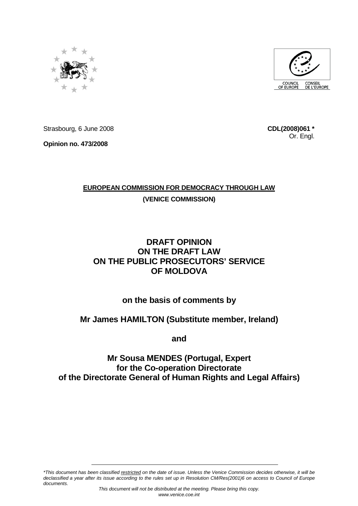



Strasbourg, 6 June 2008

**Opinion no. 473/2008** 

**CDL(2008)061 \*** Or. Engl.

## **EUROPEAN COMMISSION FOR DEMOCRACY THROUGH LAW**

**(VENICE COMMISSION)**

# **DRAFT OPINION ON THE DRAFT LAW ON THE PUBLIC PROSECUTORS' SERVICE OF MOLDOVA**

# **on the basis of comments by**

# **Mr James HAMILTON (Substitute member, Ireland)**

**and** 

# **Mr Sousa MENDES (Portugal, Expert for the Co-operation Directorate of the Directorate General of Human Rights and Legal Affairs)**

\*This document has been classified restricted on the date of issue. Unless the Venice Commission decides otherwise, it will be declassified a year after its issue according to the rules set up in Resolution CM/Res(2001)6 on access to Council of Europe documents.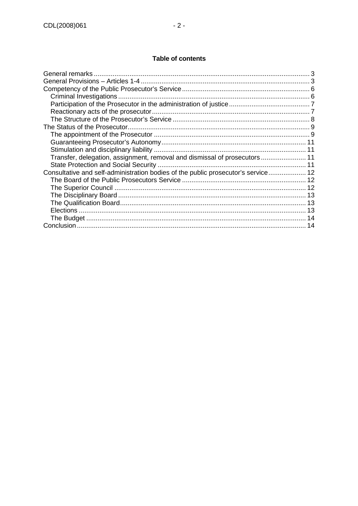## **Table of contents**

| Transfer, delegation, assignment, removal and dismissal of prosecutors  11<br>Consultative and self-administration bodies of the public prosecutor's service 12 |
|-----------------------------------------------------------------------------------------------------------------------------------------------------------------|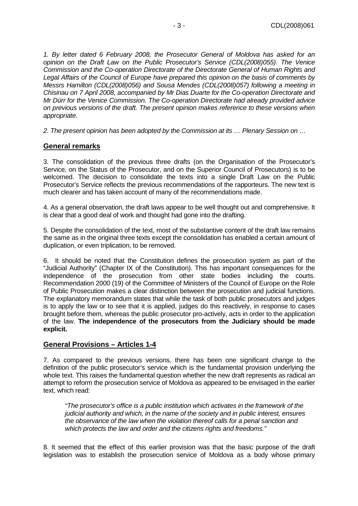1. By letter dated 6 February 2008, the Prosecutor General of Moldova has asked for an opinion on the Draft Law on the Public Prosecutor's Service (CDL(2008)055). The Venice Commission and the Co-operation Directorate of the Directorate General of Human Rights and Legal Affairs of the Council of Europe have prepared this opinion on the basis of comments by Messrs Hamilton (CDL(2008)056) and Sousa Mendes (CDL(2008)057) following a meeting in Chisinau on 7 April 2008, accompanied by Mr Dias Duarte for the Co-operation Directorate and Mr Dürr for the Venice Commission. The Co-operation Directorate had already provided advice on previous versions of the draft. The present opinion makes reference to these versions when appropriate.

2. The present opinion has been adopted by the Commission at its … Plenary Session on …

#### **General remarks**

3. The consolidation of the previous three drafts (on the Organisation of the Prosecutor's Service, on the Status of the Prosecutor, and on the Superior Council of Prosecutors) is to be welcomed. The decision to consolidate the texts into a single Draft Law on the Public Prosecutor's Service reflects the previous recommendations of the rapporteurs. The new text is much clearer and has taken account of many of the recommendations made.

4. As a general observation, the draft laws appear to be well thought out and comprehensive. It is clear that a good deal of work and thought had gone into the drafting.

5. Despite the consolidation of the text, most of the substantive content of the draft law remains the same as in the original three texts except the consolidation has enabled a certain amount of duplication, or even triplication, to be removed.

6. It should be noted that the Constitution defines the prosecution system as part of the "Judicial Authority" (Chapter IX of the Constitution). This has important consequences for the independence of the prosecution from other state bodies including the courts. Recommendation 2000 (19) of the Committee of Ministers of the Council of Europe on the Role of Public Prosecution makes a clear distinction between the prosecution and judicial functions. The explanatory memorandum states that while the task of both public prosecutors and judges is to apply the law or to see that it is applied, judges do this reactively, in response to cases brought before them, whereas the public prosecutor pro-actively, acts in order to the application of the law. **The independence of the prosecutors from the Judiciary should be made explicit.**

#### **General Provisions – Articles 1-4**

7. As compared to the previous versions, there has been one significant change to the definition of the public prosecutor's service which is the fundamental provision underlying the whole text. This raises the fundamental question whether the new draft represents as radical an attempt to reform the prosecution service of Moldova as appeared to be envisaged in the earlier text, which read:

"The prosecutor's office is a public institution which activates in the framework of the judicial authority and which, in the name of the society and in public interest, ensures the observance of the law when the violation thereof calls for a penal sanction and which protects the law and order and the citizens rights and freedoms."

8. It seemed that the effect of this earlier provision was that the basic purpose of the draft legislation was to establish the prosecution service of Moldova as a body whose primary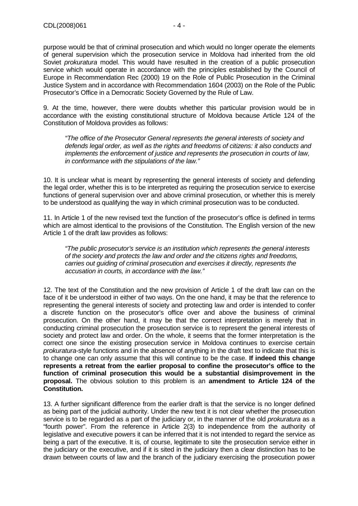purpose would be that of criminal prosecution and which would no longer operate the elements of general supervision which the prosecution service in Moldova had inherited from the old Soviet *prokuratura* model. This would have resulted in the creation of a public prosecution service which would operate in accordance with the principles established by the Council of Europe in Recommendation Rec (2000) 19 on the Role of Public Prosecution in the Criminal Justice System and in accordance with Recommendation 1604 (2003) on the Role of the Public Prosecutor's Office in a Democratic Society Governed by the Rule of Law.

9. At the time, however, there were doubts whether this particular provision would be in accordance with the existing constitutional structure of Moldova because Article 124 of the Constitution of Moldova provides as follows:

"The office of the Prosecutor General represents the general interests of society and defends legal order, as well as the rights and freedoms of citizens: it also conducts and implements the enforcement of justice and represents the prosecution in courts of law, in conformance with the stipulations of the law."

10. It is unclear what is meant by representing the general interests of society and defending the legal order, whether this is to be interpreted as requiring the prosecution service to exercise functions of general supervision over and above criminal prosecution, or whether this is merely to be understood as qualifying the way in which criminal prosecution was to be conducted.

11. In Article 1 of the new revised text the function of the prosecutor's office is defined in terms which are almost identical to the provisions of the Constitution. The English version of the new Article 1 of the draft law provides as follows:

"The public prosecutor's service is an institution which represents the general interests of the society and protects the law and order and the citizens rights and freedoms, carries out guiding of criminal prosecution and exercises it directly, represents the accusation in courts, in accordance with the law."

12. The text of the Constitution and the new provision of Article 1 of the draft law can on the face of it be understood in either of two ways. On the one hand, it may be that the reference to representing the general interests of society and protecting law and order is intended to confer a discrete function on the prosecutor's office over and above the business of criminal prosecution. On the other hand, it may be that the correct interpretation is merely that in conducting criminal prosecution the prosecution service is to represent the general interests of society and protect law and order. On the whole, it seems that the former interpretation is the correct one since the existing prosecution service in Moldova continues to exercise certain prokuratura-style functions and in the absence of anything in the draft text to indicate that this is to change one can only assume that this will continue to be the case. **If indeed this change represents a retreat from the earlier proposal to confine the prosecutor's office to the function of criminal prosecution this would be a substantial disimprovement in the proposal.** The obvious solution to this problem is an **amendment to Article 124 of the Constitution.**

13. A further significant difference from the earlier draft is that the service is no longer defined as being part of the judicial authority. Under the new text it is not clear whether the prosecution service is to be regarded as a part of the judiciary or, in the manner of the old *prokuratura* as a "fourth power". From the reference in Article 2(3) to independence from the authority of legislative and executive powers it can be inferred that it is not intended to regard the service as being a part of the executive. It is, of course, legitimate to site the prosecution service either in the judiciary or the executive, and if it is sited in the judiciary then a clear distinction has to be drawn between courts of law and the branch of the judiciary exercising the prosecution power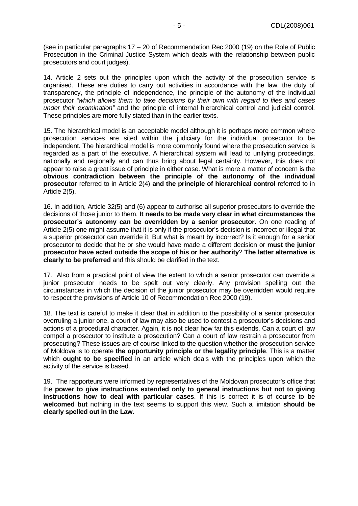(see in particular paragraphs 17 – 20 of Recommendation Rec 2000 (19) on the Role of Public Prosecution in the Criminal Justice System which deals with the relationship between public prosecutors and court judges).

14. Article 2 sets out the principles upon which the activity of the prosecution service is organised. These are duties to carry out activities in accordance with the law, the duty of transparency, the principle of independence, the principle of the autonomy of the individual prosecutor "which allows them to take decisions by their own with regard to files and cases under their examination" and the principle of internal hierarchical control and judicial control. These principles are more fully stated than in the earlier texts.

15. The hierarchical model is an acceptable model although it is perhaps more common where prosecution services are sited within the judiciary for the individual prosecutor to be independent. The hierarchical model is more commonly found where the prosecution service is regarded as a part of the executive. A hierarchical system will lead to unifying proceedings, nationally and regionally and can thus bring about legal certainty. However, this does not appear to raise a great issue of principle in either case. What is more a matter of concern is the **obvious contradiction between the principle of the autonomy of the individual prosecutor** referred to in Article 2(4) **and the principle of hierarchical control** referred to in Article 2(5).

16. In addition, Article 32(5) and (6) appear to authorise all superior prosecutors to override the decisions of those junior to them. **It needs to be made very clear in what circumstances the prosecutor's autonomy can be overridden by a senior prosecutor.** On one reading of Article 2(5) one might assume that it is only if the prosecutor's decision is incorrect or illegal that a superior prosecutor can override it. But what is meant by incorrect? Is it enough for a senior prosecutor to decide that he or she would have made a different decision or **must the junior prosecutor have acted outside the scope of his or her authority**? **The latter alternative is clearly to be preferred** and this should be clarified in the text.

17. Also from a practical point of view the extent to which a senior prosecutor can override a junior prosecutor needs to be spelt out very clearly. Any provision spelling out the circumstances in which the decision of the junior prosecutor may be overridden would require to respect the provisions of Article 10 of Recommendation Rec 2000 (19).

18. The text is careful to make it clear that in addition to the possibility of a senior prosecutor overruling a junior one, a court of law may also be used to contest a prosecutor's decisions and actions of a procedural character. Again, it is not clear how far this extends. Can a court of law compel a prosecutor to institute a prosecution? Can a court of law restrain a prosecutor from prosecuting? These issues are of course linked to the question whether the prosecution service of Moldova is to operate **the opportunity principle or the legality principle**. This is a matter which **ought to be specified** in an article which deals with the principles upon which the activity of the service is based.

19. The rapporteurs were informed by representatives of the Moldovan prosecutor's office that the **power to give instructions extended only to general instructions but not to giving instructions how to deal with particular cases**. If this is correct it is of course to be **welcomed but** nothing in the text seems to support this view. Such a limitation **should be clearly spelled out in the Law**.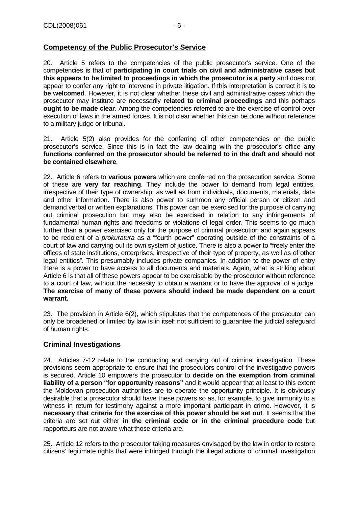## **Competency of the Public Prosecutor's Service**

20. Article 5 refers to the competencies of the public prosecutor's service. One of the competencies is that of **participating in court trials on civil and administrative cases but this appears to be limited to proceedings in which the prosecutor is a party** and does not appear to confer any right to intervene in private litigation. If this interpretation is correct it is **to be welcomed**. However, it is not clear whether these civil and administrative cases which the prosecutor may institute are necessarily **related to criminal proceedings** and this perhaps **ought to be made clear**. Among the competencies referred to are the exercise of control over execution of laws in the armed forces. It is not clear whether this can be done without reference to a military judge or tribunal.

21. Article 5(2) also provides for the conferring of other competencies on the public prosecutor's service. Since this is in fact the law dealing with the prosecutor's office **any functions conferred on the prosecutor should be referred to in the draft and should not be contained elsewhere**.

22. Article 6 refers to **various powers** which are conferred on the prosecution service. Some of these are **very far reaching**. They include the power to demand from legal entities, irrespective of their type of ownership, as well as from individuals, documents, materials, data and other information. There is also power to summon any official person or citizen and demand verbal or written explanations. This power can be exercised for the purpose of carrying out criminal prosecution but may also be exercised in relation to any infringements of fundamental human rights and freedoms or violations of legal order. This seems to go much further than a power exercised only for the purpose of criminal prosecution and again appears to be redolent of a prokuratura as a "fourth power" operating outside of the constraints of a court of law and carrying out its own system of justice. There is also a power to "freely enter the offices of state institutions, enterprises, irrespective of their type of property, as well as of other legal entities". This presumably includes private companies. In addition to the power of entry there is a power to have access to all documents and materials. Again, what is striking about Article 6 is that all of these powers appear to be exercisable by the prosecutor without reference to a court of law, without the necessity to obtain a warrant or to have the approval of a judge. **The exercise of many of these powers should indeed be made dependent on a court warrant.**

23. The provision in Article 6(2), which stipulates that the competences of the prosecutor can only be broadened or limited by law is in itself not sufficient to guarantee the judicial safeguard of human rights.

## **Criminal Investigations**

24. Articles 7-12 relate to the conducting and carrying out of criminal investigation. These provisions seem appropriate to ensure that the prosecutors control of the investigative powers is secured. Article 10 empowers the prosecutor to **decide on the exemption from criminal liability of a person "for opportunity reasons"** and it would appear that at least to this extent the Moldovan prosecution authorities are to operate the opportunity principle. It is obviously desirable that a prosecutor should have these powers so as, for example, to give immunity to a witness in return for testimony against a more important participant in crime. However, it is **necessary that criteria for the exercise of this power should be set out**. It seems that the criteria are set out either **in the criminal code or in the criminal procedure code** but rapporteurs are not aware what those criteria are.

25. Article 12 refers to the prosecutor taking measures envisaged by the law in order to restore citizens' legitimate rights that were infringed through the illegal actions of criminal investigation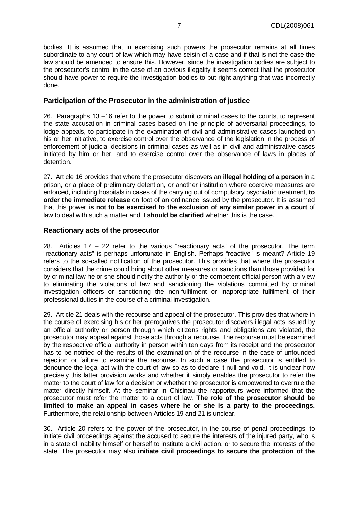bodies. It is assumed that in exercising such powers the prosecutor remains at all times subordinate to any court of law which may have seisin of a case and if that is not the case the law should be amended to ensure this. However, since the investigation bodies are subject to the prosecutor's control in the case of an obvious illegality it seems correct that the prosecutor should have power to require the investigation bodies to put right anything that was incorrectly done.

#### **Participation of the Prosecutor in the administration of justice**

26. Paragraphs 13 –16 refer to the power to submit criminal cases to the courts, to represent the state accusation in criminal cases based on the principle of adversarial proceedings, to lodge appeals, to participate in the examination of civil and administrative cases launched on his or her initiative, to exercise control over the observance of the legislation in the process of enforcement of judicial decisions in criminal cases as well as in civil and administrative cases initiated by him or her, and to exercise control over the observance of laws in places of detention.

27. Article 16 provides that where the prosecutor discovers an **illegal holding of a person** in a prison, or a place of preliminary detention, or another institution where coercive measures are enforced, including hospitals in cases of the carrying out of compulsory psychiatric treatment, **to order the immediate release** on foot of an ordinance issued by the prosecutor. It is assumed that this power **is not to be exercised to the exclusion of any similar power in a court** of law to deal with such a matter and it **should be clarified** whether this is the case.

#### **Reactionary acts of the prosecutor**

28. Articles  $17 - 22$  refer to the various "reactionary acts" of the prosecutor. The term "reactionary acts" is perhaps unfortunate in English. Perhaps "reactive" is meant? Article 19 refers to the so-called notification of the prosecutor. This provides that where the prosecutor considers that the crime could bring about other measures or sanctions than those provided for by criminal law he or she should notify the authority or the competent official person with a view to eliminating the violations of law and sanctioning the violations committed by criminal investigation officers or sanctioning the non-fulfilment or inappropriate fulfilment of their professional duties in the course of a criminal investigation.

29. Article 21 deals with the recourse and appeal of the prosecutor. This provides that where in the course of exercising his or her prerogatives the prosecutor discovers illegal acts issued by an official authority or person through which citizens rights and obligations are violated, the prosecutor may appeal against those acts through a recourse. The recourse must be examined by the respective official authority in person within ten days from its receipt and the prosecutor has to be notified of the results of the examination of the recourse in the case of unfounded rejection or failure to examine the recourse. In such a case the prosecutor is entitled to denounce the legal act with the court of law so as to declare it null and void. It is unclear how precisely this latter provision works and whether it simply enables the prosecutor to refer the matter to the court of law for a decision or whether the prosecutor is empowered to overrule the matter directly himself. At the seminar in Chisinau the rapporteurs were informed that the prosecutor must refer the matter to a court of law. **The role of the prosecutor should be limited to make an appeal in cases where he or she is a party to the proceedings.**  Furthermore, the relationship between Articles 19 and 21 is unclear.

30. Article 20 refers to the power of the prosecutor, in the course of penal proceedings, to initiate civil proceedings against the accused to secure the interests of the injured party, who is in a state of inability himself or herself to institute a civil action, or to secure the interests of the state. The prosecutor may also **initiate civil proceedings to secure the protection of the**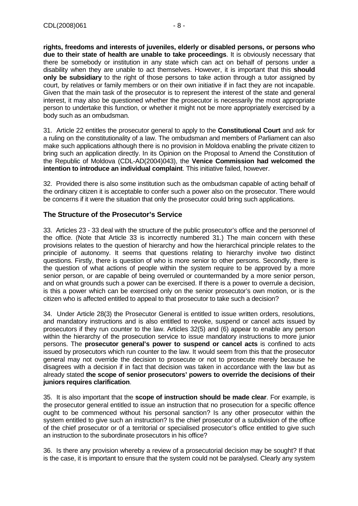**rights, freedoms and interests of juveniles, elderly or disabled persons, or persons who due to their state of health are unable to take proceedings**. It is obviously necessary that there be somebody or institution in any state which can act on behalf of persons under a disability when they are unable to act themselves. However, it is important that this **should only be subsidiary** to the right of those persons to take action through a tutor assigned by court, by relatives or family members or on their own initiative if in fact they are not incapable. Given that the main task of the prosecutor is to represent the interest of the state and general interest, it may also be questioned whether the prosecutor is necessarily the most appropriate person to undertake this function, or whether it might not be more appropriately exercised by a body such as an ombudsman.

31. Article 22 entitles the prosecutor general to apply to the **Constitutional Court** and ask for a ruling on the constitutionality of a law. The ombudsman and members of Parliament can also make such applications although there is no provision in Moldova enabling the private citizen to bring such an application directly. In its Opinion on the Proposal to Amend the Constitution of the Republic of Moldova (CDL-AD(2004)043), the **Venice Commission had welcomed the intention to introduce an individual complaint**. This initiative failed, however.

32. Provided there is also some institution such as the ombudsman capable of acting behalf of the ordinary citizen it is acceptable to confer such a power also on the prosecutor. There would be concerns if it were the situation that only the prosecutor could bring such applications.

## **The Structure of the Prosecutor's Service**

33. Articles 23 - 33 deal with the structure of the public prosecutor's office and the personnel of the office. (Note that Article 33 is incorrectly numbered 31.) The main concern with these provisions relates to the question of hierarchy and how the hierarchical principle relates to the principle of autonomy. It seems that questions relating to hierarchy involve two distinct questions. Firstly, there is question of who is more senior to other persons. Secondly, there is the question of what actions of people within the system require to be approved by a more senior person, or are capable of being overruled or countermanded by a more senior person, and on what grounds such a power can be exercised. If there is a power to overrule a decision, is this a power which can be exercised only on the senior prosecutor's own motion, or is the citizen who is affected entitled to appeal to that prosecutor to take such a decision?

34. Under Article 28(3) the Prosecutor General is entitled to issue written orders, resolutions, and mandatory instructions and is also entitled to revoke, suspend or cancel acts issued by prosecutors if they run counter to the law. Articles 32(5) and (6) appear to enable any person within the hierarchy of the prosecution service to issue mandatory instructions to more junior persons. The **prosecutor general's power to suspend or cancel acts** is confined to acts issued by prosecutors which run counter to the law. It would seem from this that the prosecutor general may not override the decision to prosecute or not to prosecute merely because he disagrees with a decision if in fact that decision was taken in accordance with the law but as already stated **the scope of senior prosecutors' powers to override the decisions of their juniors requires clarification**.

35. It is also important that the **scope of instruction should be made clear**. For example, is the prosecutor general entitled to issue an instruction that no prosecution for a specific offence ought to be commenced without his personal sanction? Is any other prosecutor within the system entitled to give such an instruction? Is the chief prosecutor of a subdivision of the office of the chief prosecutor or of a territorial or specialised prosecutor's office entitled to give such an instruction to the subordinate prosecutors in his office?

36. Is there any provision whereby a review of a prosecutorial decision may be sought? If that is the case, it is important to ensure that the system could not be paralysed. Clearly any system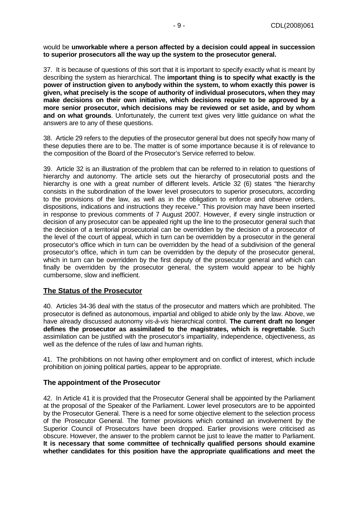#### would be **unworkable where a person affected by a decision could appeal in succession to superior prosecutors all the way up the system to the prosecutor general.**

37. It is because of questions of this sort that it is important to specify exactly what is meant by describing the system as hierarchical. The **important thing is to specify what exactly is the power of instruction given to anybody within the system, to whom exactly this power is given, what precisely is the scope of authority of individual prosecutors, when they may make decisions on their own initiative, which decisions require to be approved by a more senior prosecutor, which decisions may be reviewed or set aside, and by whom and on what grounds**. Unfortunately, the current text gives very little guidance on what the answers are to any of these questions.

38. Article 29 refers to the deputies of the prosecutor general but does not specify how many of these deputies there are to be. The matter is of some importance because it is of relevance to the composition of the Board of the Prosecutor's Service referred to below.

39. Article 32 is an illustration of the problem that can be referred to in relation to questions of hierarchy and autonomy. The article sets out the hierarchy of prosecutorial posts and the hierarchy is one with a great number of different levels. Article 32 (6) states "the hierarchy consists in the subordination of the lower level prosecutors to superior prosecutors, according to the provisions of the law, as well as in the obligation to enforce and observe orders, dispositions, indications and instructions they receive." This provision may have been inserted in response to previous comments of 7 August 2007. However, if every single instruction or decision of any prosecutor can be appealed right up the line to the prosecutor general such that the decision of a territorial prosecutorial can be overridden by the decision of a prosecutor of the level of the court of appeal, which in turn can be overridden by a prosecutor in the general prosecutor's office which in turn can be overridden by the head of a subdivision of the general prosecutor's office, which in turn can be overridden by the deputy of the prosecutor general, which in turn can be overridden by the first deputy of the prosecutor general and which can finally be overridden by the prosecutor general, the system would appear to be highly cumbersome, slow and inefficient.

#### **The Status of the Prosecutor**

40. Articles 34-36 deal with the status of the prosecutor and matters which are prohibited. The prosecutor is defined as autonomous, impartial and obliged to abide only by the law. Above, we have already discussed autonomy vis-à-vis hierarchical control. **The current draft no longer defines the prosecutor as assimilated to the magistrates, which is regrettable**. Such assimilation can be justified with the prosecutor's impartiality, independence, objectiveness, as well as the defence of the rules of law and human rights.

41. The prohibitions on not having other employment and on conflict of interest, which include prohibition on joining political parties, appear to be appropriate.

#### **The appointment of the Prosecutor**

42. In Article 41 it is provided that the Prosecutor General shall be appointed by the Parliament at the proposal of the Speaker of the Parliament. Lower level prosecutors are to be appointed by the Prosecutor General. There is a need for some objective element to the selection process of the Prosecutor General. The former provisions which contained an involvement by the Superior Council of Prosecutors have been dropped. Earlier provisions were criticised as obscure. However, the answer to the problem cannot be just to leave the matter to Parliament. **It is necessary that some committee of technically qualified persons should examine whether candidates for this position have the appropriate qualifications and meet the**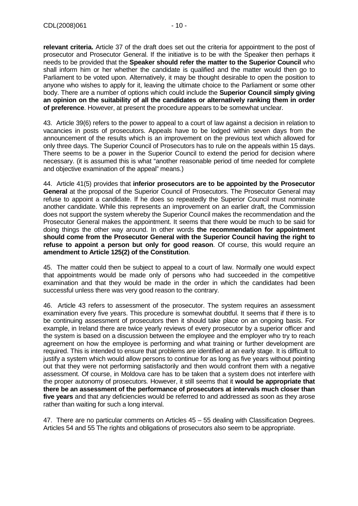**relevant criteria.** Article 37 of the draft does set out the criteria for appointment to the post of prosecutor and Prosecutor General. If the initiative is to be with the Speaker then perhaps it needs to be provided that the **Speaker should refer the matter to the Superior Council** who shall inform him or her whether the candidate is qualified and the matter would then go to Parliament to be voted upon. Alternatively, it may be thought desirable to open the position to anyone who wishes to apply for it, leaving the ultimate choice to the Parliament or some other body. There are a number of options which could include the **Superior Council simply giving an opinion on the suitability of all the candidates or alternatively ranking them in order of preference**. However, at present the procedure appears to be somewhat unclear.

43. Article 39(6) refers to the power to appeal to a court of law against a decision in relation to vacancies in posts of prosecutors. Appeals have to be lodged within seven days from the announcement of the results which is an improvement on the previous text which allowed for only three days. The Superior Council of Prosecutors has to rule on the appeals within 15 days. There seems to be a power in the Superior Council to extend the period for decision where necessary. (it is assumed this is what "another reasonable period of time needed for complete and objective examination of the appeal" means.)

44. Article 41(5) provides that **inferior prosecutors are to be appointed by the Prosecutor General** at the proposal of the Superior Council of Prosecutors. The Prosecutor General may refuse to appoint a candidate. If he does so repeatedly the Superior Council must nominate another candidate. While this represents an improvement on an earlier draft, the Commission does not support the system whereby the Superior Council makes the recommendation and the Prosecutor General makes the appointment. It seems that there would be much to be said for doing things the other way around. In other words **the recommendation for appointment should come from the Prosecutor General with the Superior Council having the right to refuse to appoint a person but only for good reason**. Of course, this would require an **amendment to Article 125(2) of the Constitution**.

45. The matter could then be subject to appeal to a court of law. Normally one would expect that appointments would be made only of persons who had succeeded in the competitive examination and that they would be made in the order in which the candidates had been successful unless there was very good reason to the contrary.

46. Article 43 refers to assessment of the prosecutor. The system requires an assessment examination every five years. This procedure is somewhat doubtful. It seems that if there is to be continuing assessment of prosecutors then it should take place on an ongoing basis. For example, in Ireland there are twice yearly reviews of every prosecutor by a superior officer and the system is based on a discussion between the employee and the employer who try to reach agreement on how the employee is performing and what training or further development are required. This is intended to ensure that problems are identified at an early stage. It is difficult to justify a system which would allow persons to continue for as long as five years without pointing out that they were not performing satisfactorily and then would confront them with a negative assessment. Of course, in Moldova care has to be taken that a system does not interfere with the proper autonomy of prosecutors. However, it still seems that it **would be appropriate that there be an assessment of the performance of prosecutors at intervals much closer than five years** and that any deficiencies would be referred to and addressed as soon as they arose rather than waiting for such a long interval.

47. There are no particular comments on Articles 45 – 55 dealing with Classification Degrees. Articles 54 and 55 The rights and obligations of prosecutors also seem to be appropriate.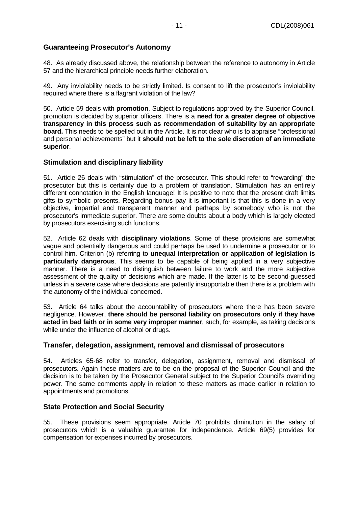## **Guaranteeing Prosecutor's Autonomy**

48. As already discussed above, the relationship between the reference to autonomy in Article 57 and the hierarchical principle needs further elaboration.

49. Any inviolability needs to be strictly limited. Is consent to lift the prosecutor's inviolability required where there is a flagrant violation of the law?

50. Article 59 deals with **promotion**. Subject to regulations approved by the Superior Council, promotion is decided by superior officers. There is a **need for a greater degree of objective transparency in this process such as recommendation of suitability by an appropriate board.** This needs to be spelled out in the Article. It is not clear who is to appraise "professional and personal achievements" but it **should not be left to the sole discretion of an immediate superior**.

#### **Stimulation and disciplinary liability**

51. Article 26 deals with "stimulation" of the prosecutor. This should refer to "rewarding" the prosecutor but this is certainly due to a problem of translation. Stimulation has an entirely different connotation in the English language! It is positive to note that the present draft limits gifts to symbolic presents. Regarding bonus pay it is important is that this is done in a very objective, impartial and transparent manner and perhaps by somebody who is not the prosecutor's immediate superior. There are some doubts about a body which is largely elected by prosecutors exercising such functions.

52. Article 62 deals with **disciplinary violations**. Some of these provisions are somewhat vague and potentially dangerous and could perhaps be used to undermine a prosecutor or to control him. Criterion (b) referring to **unequal interpretation or application of legislation is particularly dangerous**. This seems to be capable of being applied in a very subjective manner. There is a need to distinguish between failure to work and the more subjective assessment of the quality of decisions which are made. If the latter is to be second-guessed unless in a severe case where decisions are patently insupportable then there is a problem with the autonomy of the individual concerned.

53. Article 64 talks about the accountability of prosecutors where there has been severe negligence. However, **there should be personal liability on prosecutors only if they have acted in bad faith or in some very improper manner**, such, for example, as taking decisions while under the influence of alcohol or drugs.

#### **Transfer, delegation, assignment, removal and dismissal of prosecutors**

54. Articles 65-68 refer to transfer, delegation, assignment, removal and dismissal of prosecutors. Again these matters are to be on the proposal of the Superior Council and the decision is to be taken by the Prosecutor General subject to the Superior Council's overriding power. The same comments apply in relation to these matters as made earlier in relation to appointments and promotions.

#### **State Protection and Social Security**

55. These provisions seem appropriate. Article 70 prohibits diminution in the salary of prosecutors which is a valuable guarantee for independence. Article 69(5) provides for compensation for expenses incurred by prosecutors.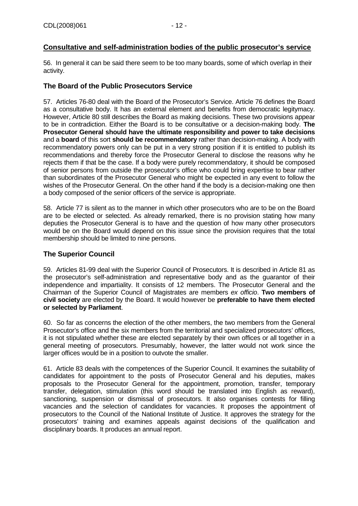## **Consultative and self-administration bodies of the public prosecutor's service**

56. In general it can be said there seem to be too many boards, some of which overlap in their activity.

### **The Board of the Public Prosecutors Service**

57. Articles 76-80 deal with the Board of the Prosecutor's Service. Article 76 defines the Board as a consultative body. It has an external element and benefits from democratic legitymacy. However, Article 80 still describes the Board as making decisions. These two provisions appear to be in contradiction. Either the Board is to be consultative or a decision-making body. **The Prosecutor General should have the ultimate responsibility and power to take decisions**  and a **board** of this sort **should be recommendatory** rather than decision-making. A body with recommendatory powers only can be put in a very strong position if it is entitled to publish its recommendations and thereby force the Prosecutor General to disclose the reasons why he rejects them if that be the case. If a body were purely recommendatory, it should be composed of senior persons from outside the prosecutor's office who could bring expertise to bear rather than subordinates of the Prosecutor General who might be expected in any event to follow the wishes of the Prosecutor General. On the other hand if the body is a decision-making one then a body composed of the senior officers of the service is appropriate.

58. Article 77 is silent as to the manner in which other prosecutors who are to be on the Board are to be elected or selected. As already remarked, there is no provision stating how many deputies the Prosecutor General is to have and the question of how many other prosecutors would be on the Board would depend on this issue since the provision requires that the total membership should be limited to nine persons.

#### **The Superior Council**

59. Articles 81-99 deal with the Superior Council of Prosecutors. It is described in Article 81 as the prosecutor's self-administration and representative body and as the guarantor of their independence and impartiality. It consists of 12 members. The Prosecutor General and the Chairman of the Superior Council of Magistrates are members ex officio. **Two members of civil society** are elected by the Board. It would however be **preferable to have them elected or selected by Parliament**.

60. So far as concerns the election of the other members, the two members from the General Prosecutor's office and the six members from the territorial and specialized prosecutors' offices, it is not stipulated whether these are elected separately by their own offices or all together in a general meeting of prosecutors. Presumably, however, the latter would not work since the larger offices would be in a position to outvote the smaller.

61. Article 83 deals with the competences of the Superior Council. It examines the suitability of candidates for appointment to the posts of Prosecutor General and his deputies, makes proposals to the Prosecutor General for the appointment, promotion, transfer, temporary transfer, delegation, stimulation (this word should be translated into English as reward), sanctioning, suspension or dismissal of prosecutors. It also organises contests for filling vacancies and the selection of candidates for vacancies. It proposes the appointment of prosecutors to the Council of the National Institute of Justice. It approves the strategy for the prosecutors' training and examines appeals against decisions of the qualification and disciplinary boards. It produces an annual report.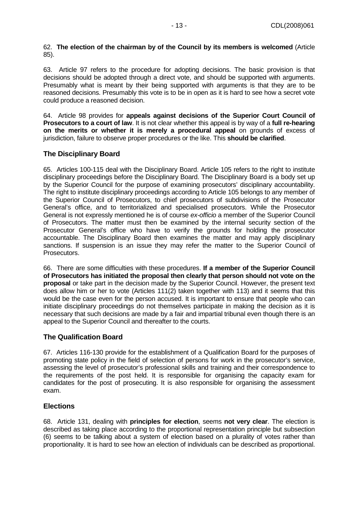#### 62. **The election of the chairman by of the Council by its members is welcomed** (Article 85).

63. Article 97 refers to the procedure for adopting decisions. The basic provision is that decisions should be adopted through a direct vote, and should be supported with arguments. Presumably what is meant by their being supported with arguments is that they are to be reasoned decisions. Presumably this vote is to be in open as it is hard to see how a secret vote could produce a reasoned decision.

64. Article 98 provides for **appeals against decisions of the Superior Court Council of Prosecutors to a court of law**. It is not clear whether this appeal is by way of a **full re-hearing on the merits or whether it is merely a procedural appeal** on grounds of excess of jurisdiction, failure to observe proper procedures or the like. This **should be clarified**.

## **The Disciplinary Board**

65. Articles 100-115 deal with the Disciplinary Board. Article 105 refers to the right to institute disciplinary proceedings before the Disciplinary Board. The Disciplinary Board is a body set up by the Superior Council for the purpose of examining prosecutors' disciplinary accountability. The right to institute disciplinary proceedings according to Article 105 belongs to any member of the Superior Council of Prosecutors, to chief prosecutors of subdivisions of the Prosecutor General's office, and to territorialized and specialised prosecutors. While the Prosecutor General is not expressly mentioned he is of course ex-officio a member of the Superior Council of Prosecutors. The matter must then be examined by the internal security section of the Prosecutor General's office who have to verify the grounds for holding the prosecutor accountable. The Disciplinary Board then examines the matter and may apply disciplinary sanctions. If suspension is an issue they may refer the matter to the Superior Council of Prosecutors.

66. There are some difficulties with these procedures. **If a member of the Superior Council of Prosecutors has initiated the proposal then clearly that person should not vote on the proposal** or take part in the decision made by the Superior Council. However, the present text does allow him or her to vote (Articles 111(2) taken together with 113) and it seems that this would be the case even for the person accused. It is important to ensure that people who can initiate disciplinary proceedings do not themselves participate in making the decision as it is necessary that such decisions are made by a fair and impartial tribunal even though there is an appeal to the Superior Council and thereafter to the courts.

## **The Qualification Board**

67. Articles 116-130 provide for the establishment of a Qualification Board for the purposes of promoting state policy in the field of selection of persons for work in the prosecutor's service, assessing the level of prosecutor's professional skills and training and their correspondence to the requirements of the post held. It is responsible for organising the capacity exam for candidates for the post of prosecuting. It is also responsible for organising the assessment exam.

#### **Elections**

68. Article 131, dealing with **principles for election**, seems **not very clear**. The election is described as taking place according to the proportional representation principle but subsection (6) seems to be talking about a system of election based on a plurality of votes rather than proportionality. It is hard to see how an election of individuals can be described as proportional.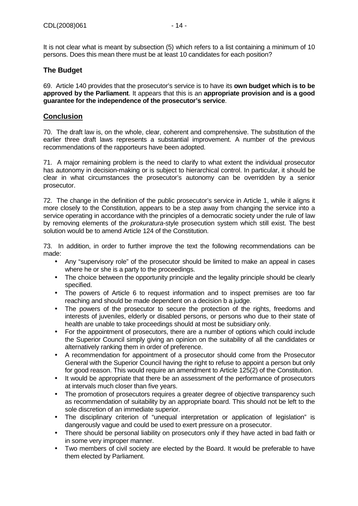It is not clear what is meant by subsection (5) which refers to a list containing a minimum of 10 persons. Does this mean there must be at least 10 candidates for each position?

## **The Budget**

69. Article 140 provides that the prosecutor's service is to have its **own budget which is to be approved by the Parliament**. It appears that this is an **appropriate provision and is a good guarantee for the independence of the prosecutor's service**.

#### **Conclusion**

70. The draft law is, on the whole, clear, coherent and comprehensive. The substitution of the earlier three draft laws represents a substantial improvement. A number of the previous recommendations of the rapporteurs have been adopted.

71. A major remaining problem is the need to clarify to what extent the individual prosecutor has autonomy in decision-making or is subject to hierarchical control. In particular, it should be clear in what circumstances the prosecutor's autonomy can be overridden by a senior prosecutor.

72. The change in the definition of the public prosecutor's service in Article 1, while it aligns it more closely to the Constitution, appears to be a step away from changing the service into a service operating in accordance with the principles of a democratic society under the rule of law by removing elements of the *prokuratura*-style prosecution system which still exist. The best solution would be to amend Article 124 of the Constitution.

73. In addition, in order to further improve the text the following recommendations can be made:

- Any "supervisory role" of the prosecutor should be limited to make an appeal in cases where he or she is a party to the proceedings.
- The choice between the opportunity principle and the legality principle should be clearly specified.
- The powers of Article 6 to request information and to inspect premises are too far reaching and should be made dependent on a decision b a judge.
- The powers of the prosecutor to secure the protection of the rights, freedoms and interests of juveniles, elderly or disabled persons, or persons who due to their state of health are unable to take proceedings should at most be subsidiary only.
- For the appointment of prosecutors, there are a number of options which could include the Superior Council simply giving an opinion on the suitability of all the candidates or alternatively ranking them in order of preference.
- A recommendation for appointment of a prosecutor should come from the Prosecutor General with the Superior Council having the right to refuse to appoint a person but only for good reason. This would require an amendment to Article 125(2) of the Constitution.
- It would be appropriate that there be an assessment of the performance of prosecutors at intervals much closer than five years.
- The promotion of prosecutors requires a greater degree of objective transparency such as recommendation of suitability by an appropriate board. This should not be left to the sole discretion of an immediate superior.
- The disciplinary criterion of "unequal interpretation or application of legislation" is dangerously vague and could be used to exert pressure on a prosecutor.
- There should be personal liability on prosecutors only if they have acted in bad faith or in some very improper manner.
- Two members of civil society are elected by the Board. It would be preferable to have them elected by Parliament.